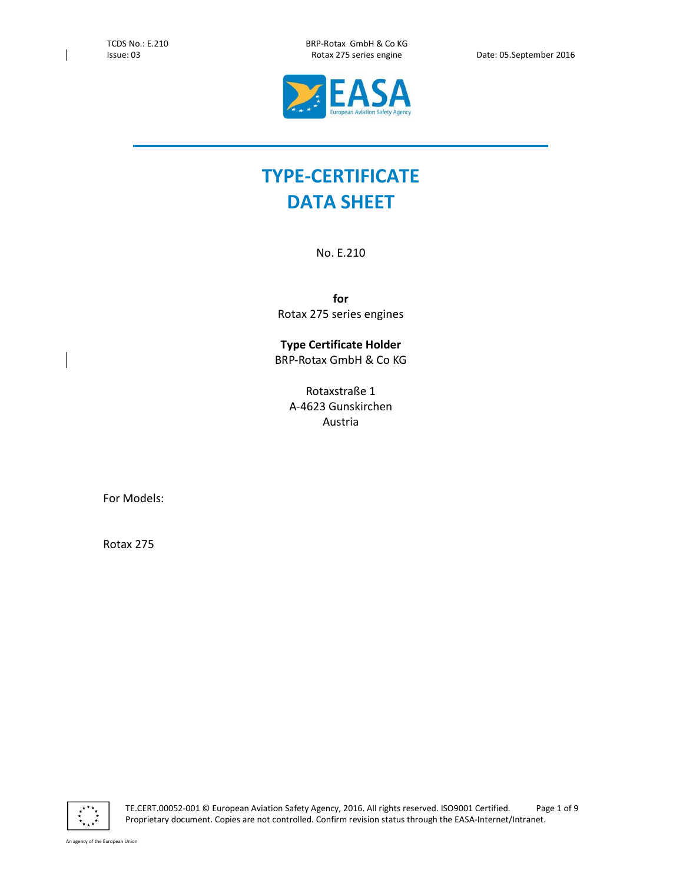TCDS No.: E.210 BRP-Rotax GmbH & Co KG



# **TYPE-CERTIFICATE DATA SHEET**

No. E.210

**for**  Rotax 275 series engines

**Type Certificate Holder**  BRP-Rotax GmbH & Co KG

> Rotaxstraße 1 A-4623 Gunskirchen Austria

For Models:

Rotax 275



TE.CERT.00052-001 © European Aviation Safety Agency, 2016. All rights reserved. ISO9001 Certified. Page 1 of 9 Proprietary document. Copies are not controlled. Confirm revision status through the EASA-Internet/Intranet.

An agency of the European Union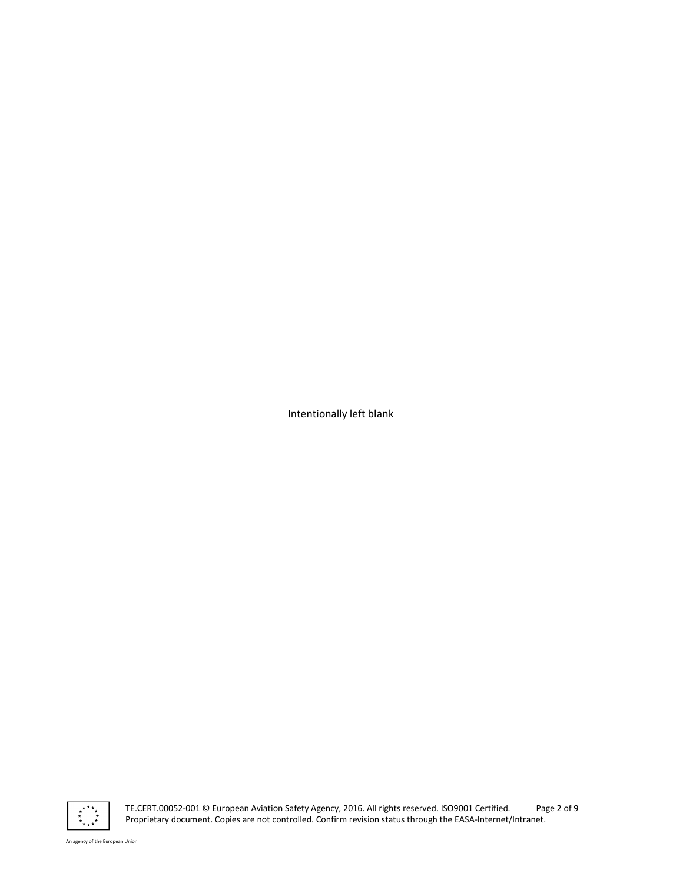Intentionally left blank



TE.CERT.00052-001 © European Aviation Safety Agency, 2016. All rights reserved. ISO9001 Certified. Page 2 of 9 Proprietary document. Copies are not controlled. Confirm revision status through the EASA-Internet/Intranet.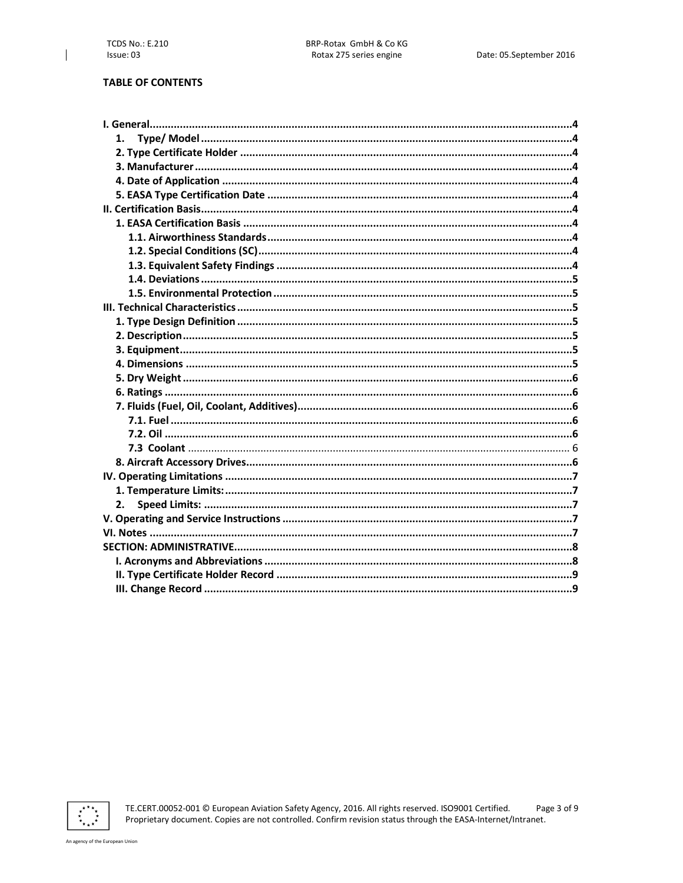$\mathsf{l}$ 

## **TABLE OF CONTENTS**

| 1. |  |
|----|--|
|    |  |
|    |  |
|    |  |
|    |  |
|    |  |
|    |  |
|    |  |
|    |  |
|    |  |
|    |  |
|    |  |
|    |  |
|    |  |
|    |  |
|    |  |
|    |  |
|    |  |
|    |  |
|    |  |
|    |  |
|    |  |
|    |  |
|    |  |
|    |  |
|    |  |
| 2. |  |
|    |  |
|    |  |
|    |  |
|    |  |
|    |  |
|    |  |

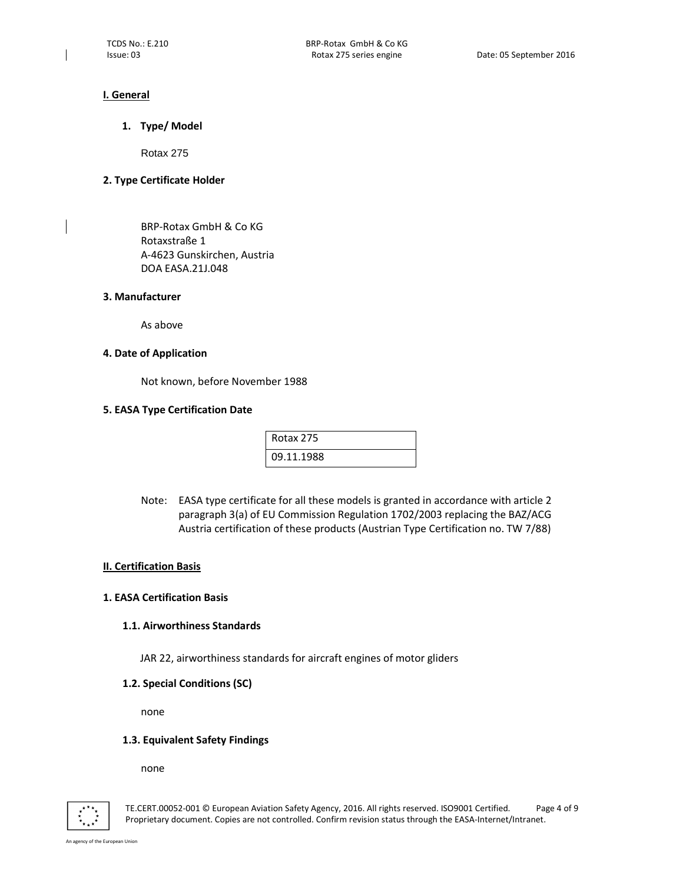## **I. General**

**1. Type/ Model** 

Rotax 275

## **2. Type Certificate Holder**

BRP-Rotax GmbH & Co KG Rotaxstraße 1 A-4623 Gunskirchen, Austria DOA EASA.21J.048

#### **3. Manufacturer**

As above

#### **4. Date of Application**

Not known, before November 1988

## **5. EASA Type Certification Date**

| Rotax 275  |  |
|------------|--|
| 09.11.1988 |  |

Note: EASA type certificate for all these models is granted in accordance with article 2 paragraph 3(a) of EU Commission Regulation 1702/2003 replacing the BAZ/ACG Austria certification of these products (Austrian Type Certification no. TW 7/88)

## **II. Certification Basis**

## **1. EASA Certification Basis**

#### **1.1. Airworthiness Standards**

JAR 22, airworthiness standards for aircraft engines of motor gliders

#### **1.2. Special Conditions (SC)**

none

## **1.3. Equivalent Safety Findings**

none



TE.CERT.00052-001 © European Aviation Safety Agency, 2016. All rights reserved. ISO9001 Certified. Page 4 of 9 Proprietary document. Copies are not controlled. Confirm revision status through the EASA-Internet/Intranet.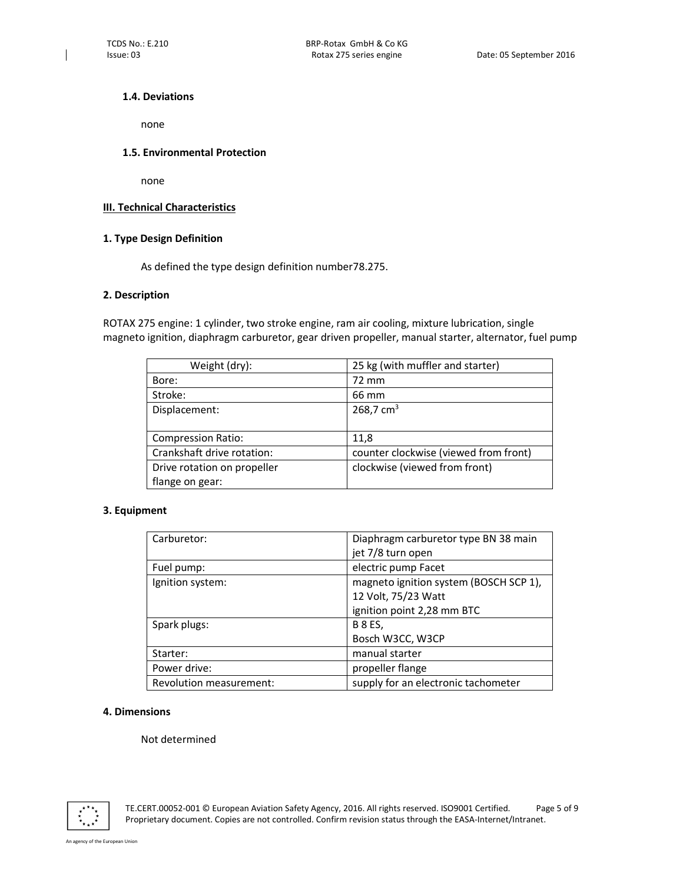#### **1.4. Deviations**

none

## **1.5. Environmental Protection**

none

## **III. Technical Characteristics**

## **1. Type Design Definition**

As defined the type design definition number78.275.

#### **2. Description**

ROTAX 275 engine: 1 cylinder, two stroke engine, ram air cooling, mixture lubrication, single magneto ignition, diaphragm carburetor, gear driven propeller, manual starter, alternator, fuel pump

| Weight (dry):               | 25 kg (with muffler and starter)      |  |
|-----------------------------|---------------------------------------|--|
| Bore:                       | 72 mm                                 |  |
| Stroke:                     | 66 mm                                 |  |
| Displacement:               | 268,7 $cm3$                           |  |
|                             |                                       |  |
| <b>Compression Ratio:</b>   | 11,8                                  |  |
| Crankshaft drive rotation:  | counter clockwise (viewed from front) |  |
| Drive rotation on propeller | clockwise (viewed from front)         |  |
| flange on gear:             |                                       |  |

## **3. Equipment**

| Carburetor:             | Diaphragm carburetor type BN 38 main   |  |
|-------------------------|----------------------------------------|--|
|                         | jet 7/8 turn open                      |  |
| Fuel pump:              | electric pump Facet                    |  |
| Ignition system:        | magneto ignition system (BOSCH SCP 1), |  |
|                         | 12 Volt, 75/23 Watt                    |  |
|                         | ignition point 2,28 mm BTC             |  |
| Spark plugs:            | <b>B 8 ES,</b>                         |  |
|                         | Bosch W3CC, W3CP                       |  |
| Starter:                | manual starter                         |  |
| Power drive:            | propeller flange                       |  |
| Revolution measurement: | supply for an electronic tachometer    |  |

## **4. Dimensions**

Not determined

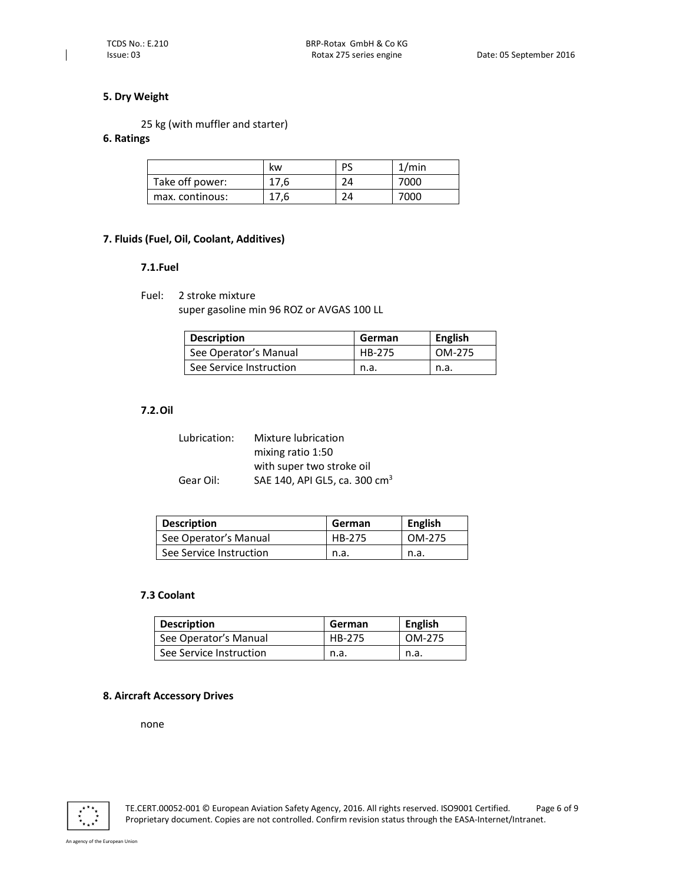$\mathsf{l}$ 

## **5. Dry Weight**

25 kg (with muffler and starter)

# **6. Ratings**

|                 | kw   | PS | $1/m$ in |
|-----------------|------|----|----------|
| Take off power: | 17.6 | 24 | 7000     |
| max. continous: | 17.6 | 24 | 7000     |

# **7. Fluids (Fuel, Oil, Coolant, Additives)**

## **7.1.Fuel**

Fuel: 2 stroke mixture

super gasoline min 96 ROZ or AVGAS 100 LL

| <b>Description</b>      | German | <b>English</b> |
|-------------------------|--------|----------------|
| See Operator's Manual   | HB-275 | OM-275         |
| See Service Instruction | n.a.   | n.a.           |

#### **7.2.Oil**

| Lubrication: | Mixture lubrication                       |
|--------------|-------------------------------------------|
|              | mixing ratio 1:50                         |
|              | with super two stroke oil                 |
| Gear Oil:    | SAE 140, API GL5, ca. 300 cm <sup>3</sup> |

| <b>Description</b>      | German | English |
|-------------------------|--------|---------|
| See Operator's Manual   | HB-275 | OM-275  |
| See Service Instruction | n.a.   | n.a.    |

# **7.3 Coolant**

| <b>Description</b>      | German | English |
|-------------------------|--------|---------|
| See Operator's Manual   | HB-275 | OM-275  |
| See Service Instruction | n.a.   | n.a.    |

## **8. Aircraft Accessory Drives**

none

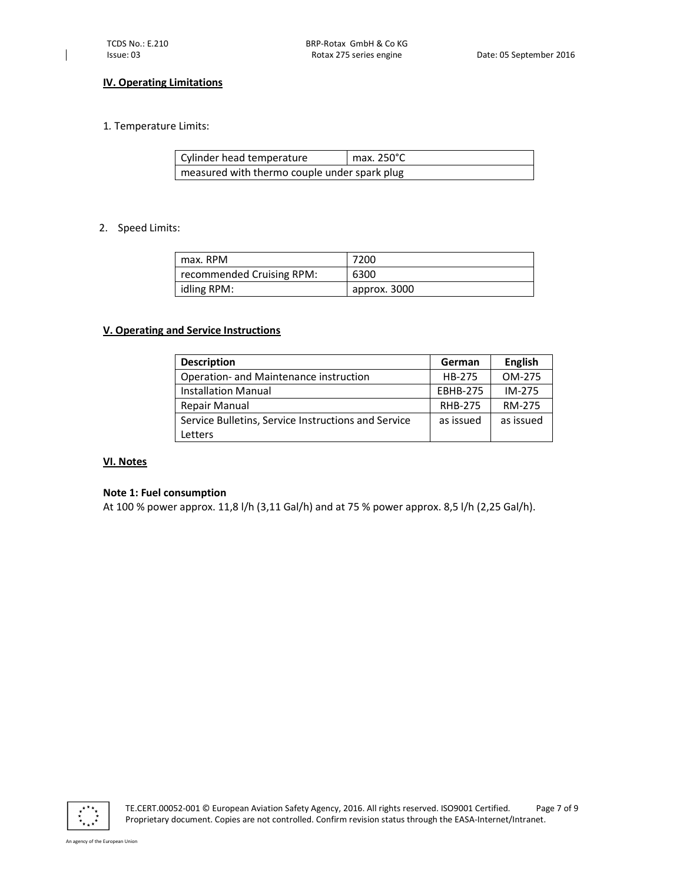# **IV. Operating Limitations**

1*.* Temperature Limits:

| Cylinder head temperature                    | max. 250°C |  |
|----------------------------------------------|------------|--|
| measured with thermo couple under spark plug |            |  |

# 2. Speed Limits:

| max. RPM                  | 7200         |
|---------------------------|--------------|
| recommended Cruising RPM: | 6300         |
| idling RPM:               | approx. 3000 |

#### **V. Operating and Service Instructions**

| <b>Description</b>                                  | German          | <b>English</b> |
|-----------------------------------------------------|-----------------|----------------|
| Operation- and Maintenance instruction              | HB-275          | OM-275         |
| <b>Installation Manual</b>                          | <b>EBHB-275</b> | $IM-275$       |
| <b>Repair Manual</b>                                | <b>RHB-275</b>  | <b>RM-275</b>  |
| Service Bulletins, Service Instructions and Service | as issued       | as issued      |
| Letters                                             |                 |                |

#### **VI. Notes**

#### **Note 1: Fuel consumption**

At 100 % power approx. 11,8 l/h (3,11 Gal/h) and at 75 % power approx. 8,5 l/h (2,25 Gal/h).

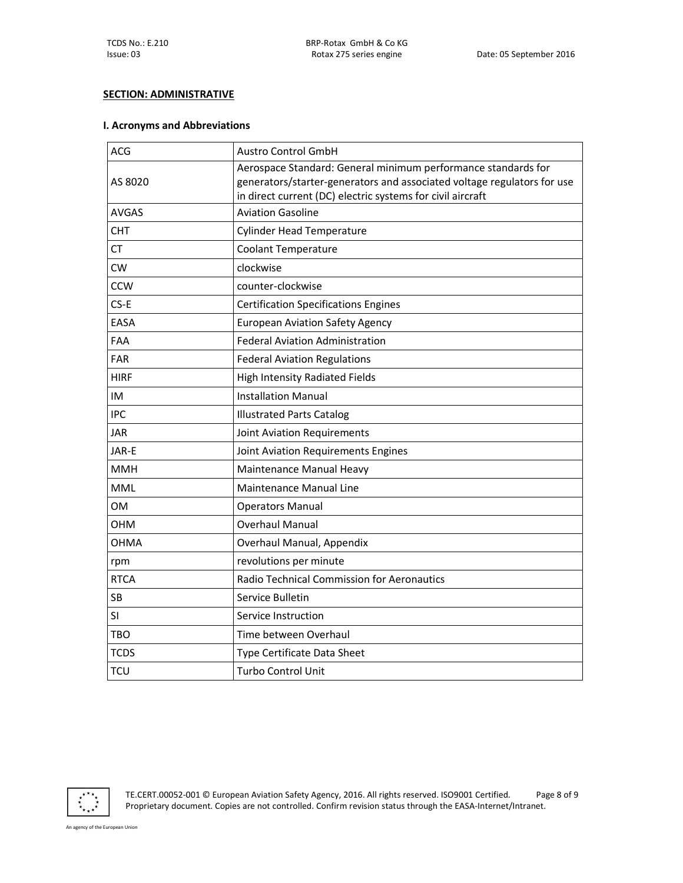#### **SECTION: ADMINISTRATIVE**

#### **I. Acronyms and Abbreviations**

| <b>ACG</b>   | Austro Control GmbH                                                                                                                                                                                    |  |  |
|--------------|--------------------------------------------------------------------------------------------------------------------------------------------------------------------------------------------------------|--|--|
| AS 8020      | Aerospace Standard: General minimum performance standards for<br>generators/starter-generators and associated voltage regulators for use<br>in direct current (DC) electric systems for civil aircraft |  |  |
| <b>AVGAS</b> | <b>Aviation Gasoline</b>                                                                                                                                                                               |  |  |
| <b>CHT</b>   | <b>Cylinder Head Temperature</b>                                                                                                                                                                       |  |  |
| <b>CT</b>    | <b>Coolant Temperature</b>                                                                                                                                                                             |  |  |
| <b>CW</b>    | clockwise                                                                                                                                                                                              |  |  |
| <b>CCW</b>   | counter-clockwise                                                                                                                                                                                      |  |  |
| CS-E         | <b>Certification Specifications Engines</b>                                                                                                                                                            |  |  |
| EASA         | <b>European Aviation Safety Agency</b>                                                                                                                                                                 |  |  |
| FAA          | <b>Federal Aviation Administration</b>                                                                                                                                                                 |  |  |
| <b>FAR</b>   | <b>Federal Aviation Regulations</b>                                                                                                                                                                    |  |  |
| <b>HIRF</b>  | High Intensity Radiated Fields                                                                                                                                                                         |  |  |
| IM           | <b>Installation Manual</b>                                                                                                                                                                             |  |  |
| <b>IPC</b>   | <b>Illustrated Parts Catalog</b>                                                                                                                                                                       |  |  |
| <b>JAR</b>   | <b>Joint Aviation Requirements</b>                                                                                                                                                                     |  |  |
| JAR-E        | Joint Aviation Requirements Engines                                                                                                                                                                    |  |  |
| <b>MMH</b>   | Maintenance Manual Heavy                                                                                                                                                                               |  |  |
| <b>MML</b>   | <b>Maintenance Manual Line</b>                                                                                                                                                                         |  |  |
| <b>OM</b>    | <b>Operators Manual</b>                                                                                                                                                                                |  |  |
| онм          | <b>Overhaul Manual</b>                                                                                                                                                                                 |  |  |
| <b>OHMA</b>  | Overhaul Manual, Appendix                                                                                                                                                                              |  |  |
| rpm          | revolutions per minute                                                                                                                                                                                 |  |  |
| <b>RTCA</b>  | Radio Technical Commission for Aeronautics                                                                                                                                                             |  |  |
| SB           | Service Bulletin                                                                                                                                                                                       |  |  |
| SI           | Service Instruction                                                                                                                                                                                    |  |  |
| <b>TBO</b>   | Time between Overhaul                                                                                                                                                                                  |  |  |
| TCDS         | Type Certificate Data Sheet                                                                                                                                                                            |  |  |
| <b>TCU</b>   | <b>Turbo Control Unit</b>                                                                                                                                                                              |  |  |



TE.CERT.00052-001 © European Aviation Safety Agency, 2016. All rights reserved. ISO9001 Certified. Page 8 of 9 Proprietary document. Copies are not controlled. Confirm revision status through the EASA-Internet/Intranet.